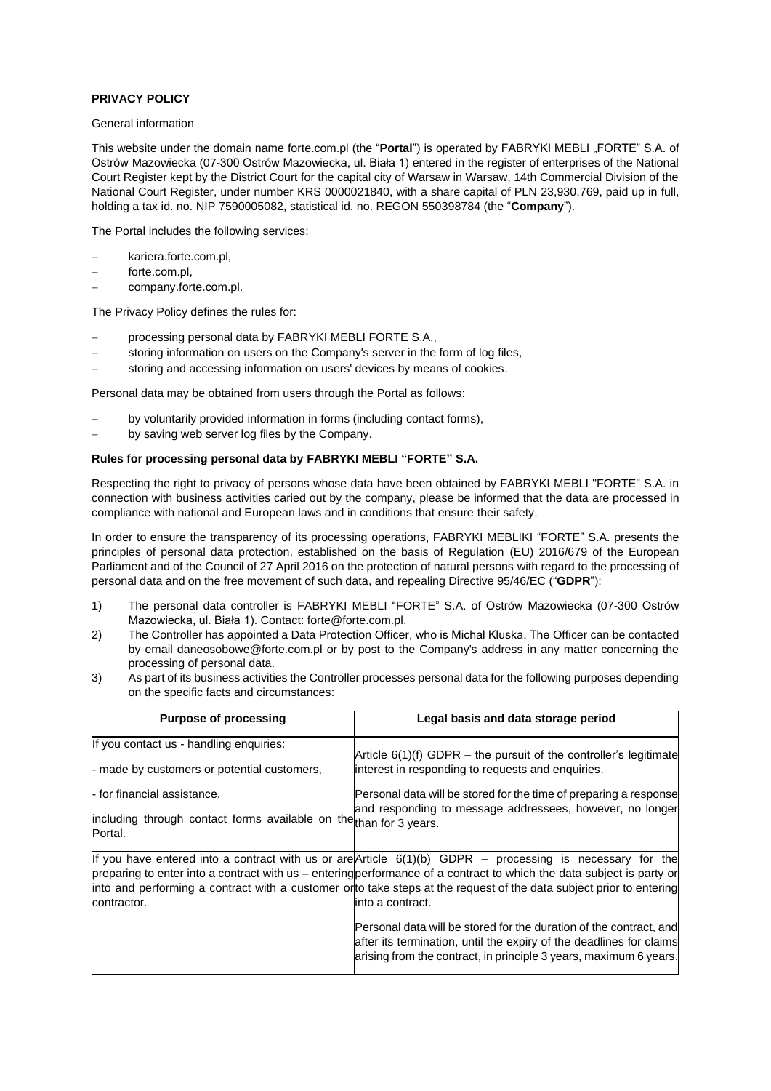# **PRIVACY POLICY**

#### General information

This website under the domain name forte.com.pl (the "Portal") is operated by FABRYKI MEBLI "FORTE" S.A. of Ostrów Mazowiecka (07-300 Ostrów Mazowiecka, ul. Biała 1) entered in the register of enterprises of the National Court Register kept by the District Court for the capital city of Warsaw in Warsaw, 14th Commercial Division of the National Court Register, under number KRS 0000021840, with a share capital of PLN 23,930,769, paid up in full, holding a tax id. no. NIP 7590005082, statistical id. no. REGON 550398784 (the "**Company**").

The Portal includes the following services:

- kariera.forte.com.pl.
- forte.com.pl,
- − company.forte.com.pl.

The Privacy Policy defines the rules for:

- − processing [personal data by FABRYKI MEBLI FORTE S.A.,](http://ww2.forte.com.pl/pl/index/page-firm/id/159#pkt.%201)
- storing information on users on [the Company's server in the form of log](http://ww2.forte.com.pl/pl/index/page-firm/id/159#pkt.%202) files,
- [storing and accessing information on users' devices by means of cookies.](http://ww2.forte.com.pl/pl/index/page-firm/id/159#pkt.%203)

Personal data may be obtained from users through the Portal as follows:

- by voluntarily provided information in forms (including contact forms),
- by saving web server log files by the Company.

# **Rules for processing personal data by FABRYKI MEBLI "FORTE" S.A.**

Respecting the right to privacy of persons whose data have been obtained by FABRYKI MEBLI "FORTE" S.A. in connection with business activities caried out by the company, please be informed that the data are processed in compliance with national and European laws and in conditions that ensure their safety.

In order to ensure the transparency of its processing operations, FABRYKI MEBLIKI "FORTE" S.A. presents the principles of personal data protection, established on the basis of Regulation (EU) 2016/679 of the European Parliament and of the Council of 27 April 2016 on the protection of natural persons with regard to the processing of personal data and on the free movement of such data, and repealing Directive 95/46/EC ("**GDPR**"):

- 1) The personal data controller is FABRYKI MEBLI "FORTE" S.A. of Ostrów Mazowiecka (07-300 Ostrów Mazowiecka, ul. Biała 1). Contact: [forte@forte.com.pl.](mailto:forte@forte.com.pl)
- 2) The Controller has appointed a Data Protection Officer, who is Michał Kluska. The Officer can be contacted by email daneosobowe@forte.com.pl or by post to the Company's address in any matter concerning the processing of personal data.
- 3) As part of its business activities the Controller processes personal data for the following purposes depending on the specific facts and circumstances:

| <b>Purpose of processing</b>                                                  | Legal basis and data storage period                                                                                                                                                                                                                                                                                                                                             |  |
|-------------------------------------------------------------------------------|---------------------------------------------------------------------------------------------------------------------------------------------------------------------------------------------------------------------------------------------------------------------------------------------------------------------------------------------------------------------------------|--|
| If you contact us - handling enquiries:                                       | Article $6(1)(f)$ GDPR – the pursuit of the controller's legitimate                                                                                                                                                                                                                                                                                                             |  |
| - made by customers or potential customers,                                   | interest in responding to requests and enquiries.                                                                                                                                                                                                                                                                                                                               |  |
| - for financial assistance,                                                   | Personal data will be stored for the time of preparing a response<br>and responding to message addressees, however, no longer                                                                                                                                                                                                                                                   |  |
| including through contact forms available on the than for 3 years.<br>Portal. |                                                                                                                                                                                                                                                                                                                                                                                 |  |
| contractor.                                                                   | If you have entered into a contract with us or are $Article 6(1)(b) GDPR - processing is necessary for the$<br>preparing to enter into a contract with us – entering performance of a contract to which the data subject is party or<br>into and performing a contract with a customer orto take steps at the request of the data subject prior to entering<br>into a contract. |  |
|                                                                               | Personal data will be stored for the duration of the contract, and<br>after its termination, until the expiry of the deadlines for claims<br>arising from the contract, in principle 3 years, maximum 6 years.                                                                                                                                                                  |  |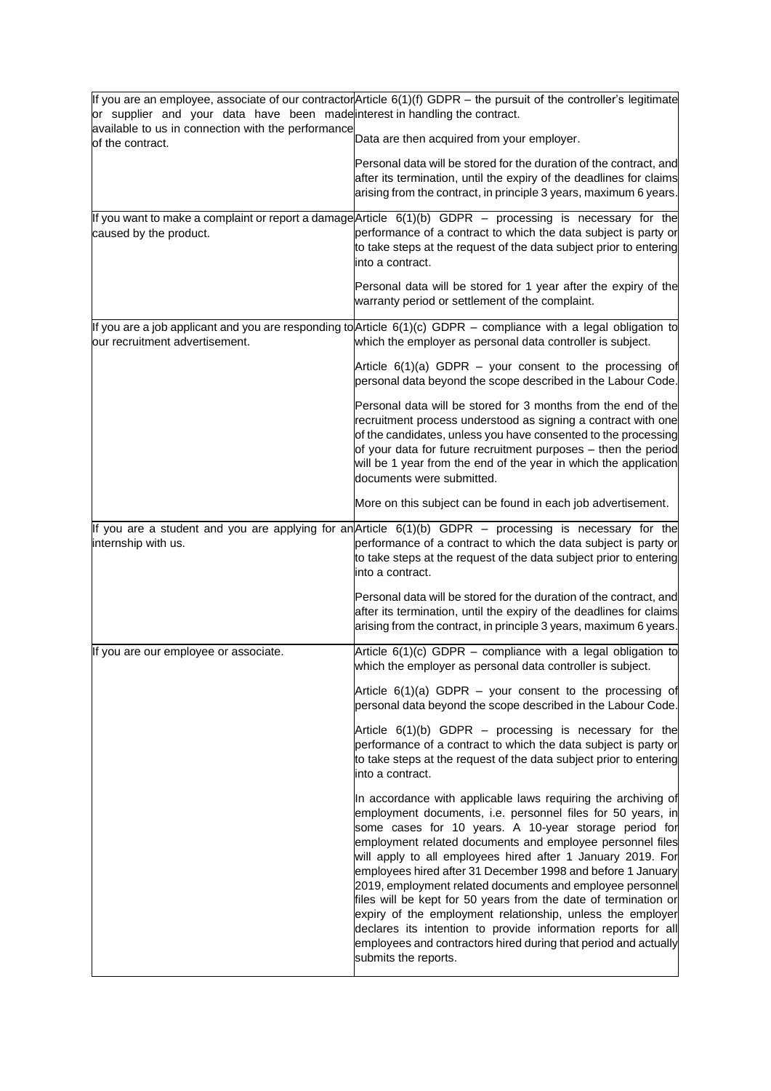| or supplier and your data have been made interest in handling the contract. | If you are an employee, associate of our contractor Article $6(1)(f)$ GDPR – the pursuit of the controller's legitimate                                                                                                                                                                                                                                                                                                                                                                                                                                                                                                                                                                                                                    |
|-----------------------------------------------------------------------------|--------------------------------------------------------------------------------------------------------------------------------------------------------------------------------------------------------------------------------------------------------------------------------------------------------------------------------------------------------------------------------------------------------------------------------------------------------------------------------------------------------------------------------------------------------------------------------------------------------------------------------------------------------------------------------------------------------------------------------------------|
| available to us in connection with the performance<br>of the contract.      | Data are then acquired from your employer.                                                                                                                                                                                                                                                                                                                                                                                                                                                                                                                                                                                                                                                                                                 |
|                                                                             | Personal data will be stored for the duration of the contract, and<br>after its termination, until the expiry of the deadlines for claims<br>arising from the contract, in principle 3 years, maximum 6 years.                                                                                                                                                                                                                                                                                                                                                                                                                                                                                                                             |
| caused by the product.                                                      | If you want to make a complaint or report a damage Article $6(1)(b)$ GDPR $-$ processing is necessary for the<br>performance of a contract to which the data subject is party or<br>to take steps at the request of the data subject prior to entering<br>into a contract.                                                                                                                                                                                                                                                                                                                                                                                                                                                                 |
|                                                                             | Personal data will be stored for 1 year after the expiry of the<br>warranty period or settlement of the complaint.                                                                                                                                                                                                                                                                                                                                                                                                                                                                                                                                                                                                                         |
| our recruitment advertisement.                                              | If you are a job applicant and you are responding to Article $6(1)(c)$ GDPR – compliance with a legal obligation to<br>which the employer as personal data controller is subject.                                                                                                                                                                                                                                                                                                                                                                                                                                                                                                                                                          |
|                                                                             | Article $6(1)(a)$ GDPR – your consent to the processing of<br>personal data beyond the scope described in the Labour Code.                                                                                                                                                                                                                                                                                                                                                                                                                                                                                                                                                                                                                 |
|                                                                             | Personal data will be stored for 3 months from the end of the<br>recruitment process understood as signing a contract with one<br>of the candidates, unless you have consented to the processing<br>of your data for future recruitment purposes - then the period<br>will be 1 year from the end of the year in which the application<br>documents were submitted.                                                                                                                                                                                                                                                                                                                                                                        |
|                                                                             | More on this subject can be found in each job advertisement.                                                                                                                                                                                                                                                                                                                                                                                                                                                                                                                                                                                                                                                                               |
| internship with us.                                                         | If you are a student and you are applying for an Article $6(1)(b)$ GDPR – processing is necessary for the<br>performance of a contract to which the data subject is party or<br>to take steps at the request of the data subject prior to entering<br>into a contract.                                                                                                                                                                                                                                                                                                                                                                                                                                                                     |
|                                                                             | Personal data will be stored for the duration of the contract, and<br>after its termination, until the expiry of the deadlines for claims<br>arising from the contract, in principle 3 years, maximum 6 years.                                                                                                                                                                                                                                                                                                                                                                                                                                                                                                                             |
| If you are our employee or associate.                                       | Article $6(1)(c)$ GDPR – compliance with a legal obligation to<br>which the employer as personal data controller is subject.                                                                                                                                                                                                                                                                                                                                                                                                                                                                                                                                                                                                               |
|                                                                             | Article $6(1)(a)$ GDPR – your consent to the processing of<br>personal data beyond the scope described in the Labour Code.                                                                                                                                                                                                                                                                                                                                                                                                                                                                                                                                                                                                                 |
|                                                                             | Article $6(1)(b)$ GDPR – processing is necessary for the<br>performance of a contract to which the data subject is party or<br>to take steps at the request of the data subject prior to entering<br>into a contract.                                                                                                                                                                                                                                                                                                                                                                                                                                                                                                                      |
|                                                                             | In accordance with applicable laws requiring the archiving of<br>employment documents, i.e. personnel files for 50 years, in<br>some cases for 10 years. A 10-year storage period for<br>employment related documents and employee personnel files<br>will apply to all employees hired after 1 January 2019. For<br>employees hired after 31 December 1998 and before 1 January<br>2019, employment related documents and employee personnel<br>files will be kept for 50 years from the date of termination or<br>expiry of the employment relationship, unless the employer<br>declares its intention to provide information reports for all<br>employees and contractors hired during that period and actually<br>submits the reports. |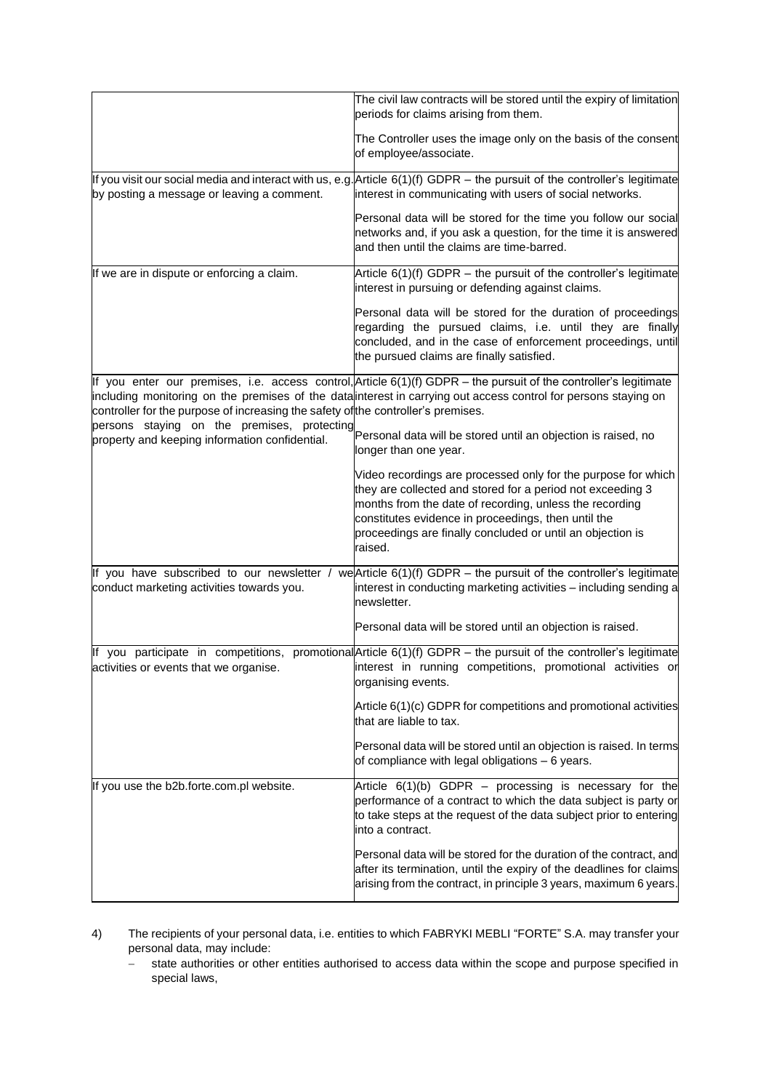|                                                                                               | The civil law contracts will be stored until the expiry of limitation<br>periods for claims arising from them.                                                                                                                                                                                                         |
|-----------------------------------------------------------------------------------------------|------------------------------------------------------------------------------------------------------------------------------------------------------------------------------------------------------------------------------------------------------------------------------------------------------------------------|
|                                                                                               | The Controller uses the image only on the basis of the consent<br>of employee/associate.                                                                                                                                                                                                                               |
| by posting a message or leaving a comment.                                                    | If you visit our social media and interact with us, e.g. Article $6(1)(f)$ GDPR – the pursuit of the controller's legitimate<br>interest in communicating with users of social networks.                                                                                                                               |
|                                                                                               | Personal data will be stored for the time you follow our social<br>networks and, if you ask a question, for the time it is answered<br>and then until the claims are time-barred.                                                                                                                                      |
| If we are in dispute or enforcing a claim.                                                    | Article $6(1)(f)$ GDPR – the pursuit of the controller's legitimate<br>interest in pursuing or defending against claims.                                                                                                                                                                                               |
|                                                                                               | Personal data will be stored for the duration of proceedings<br>regarding the pursued claims, i.e. until they are finally<br>concluded, and in the case of enforcement proceedings, until<br>the pursued claims are finally satisfied.                                                                                 |
| controller for the purpose of increasing the safety of the controller's premises.             | If you enter our premises, i.e. access control, Article 6(1)(f) GDPR - the pursuit of the controller's legitimate<br>including monitoring on the premises of the data interest in carrying out access control for persons staying on                                                                                   |
| persons staying on the premises, protecting<br>property and keeping information confidential. | Personal data will be stored until an objection is raised, no<br>longer than one year.                                                                                                                                                                                                                                 |
|                                                                                               | Video recordings are processed only for the purpose for which<br>they are collected and stored for a period not exceeding 3<br>months from the date of recording, unless the recording<br>constitutes evidence in proceedings, then until the<br>proceedings are finally concluded or until an objection is<br>raised. |
| If you have subscribed to our newsletter /<br>conduct marketing activities towards you.       | we Article $6(1)(f)$ GDPR – the pursuit of the controller's legitimate<br>interest in conducting marketing activities - including sending a<br>newsletter.                                                                                                                                                             |
|                                                                                               | Personal data will be stored until an objection is raised.                                                                                                                                                                                                                                                             |
| activities or events that we organise.                                                        | If you participate in competitions, promotional Article $6(1)(f)$ GDPR – the pursuit of the controller's legitimate<br>interest in running competitions, promotional activities or<br>organising events.                                                                                                               |
|                                                                                               | Article 6(1)(c) GDPR for competitions and promotional activities<br>that are liable to tax.                                                                                                                                                                                                                            |
|                                                                                               | Personal data will be stored until an objection is raised. In terms<br>of compliance with legal obligations - 6 years.                                                                                                                                                                                                 |
| If you use the b2b.forte.com.pl website.                                                      | Article $6(1)(b)$ GDPR - processing is necessary for the<br>performance of a contract to which the data subject is party or<br>to take steps at the request of the data subject prior to entering<br>linto a contract.                                                                                                 |
|                                                                                               | Personal data will be stored for the duration of the contract, and<br>after its termination, until the expiry of the deadlines for claims<br>arising from the contract, in principle 3 years, maximum 6 years.                                                                                                         |

4) The recipients of your personal data, i.e. entities to which FABRYKI MEBLI "FORTE" S.A. may transfer your personal data, may include:

− state authorities or other entities authorised to access data within the scope and purpose specified in special laws,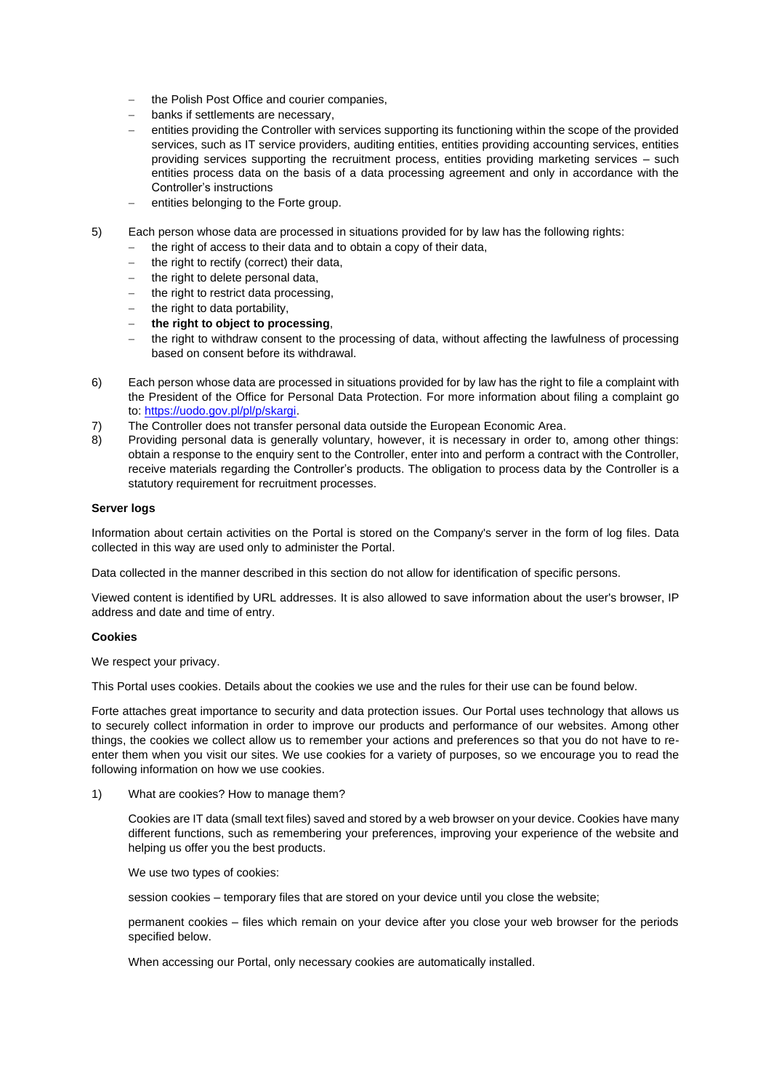- the Polish Post Office and courier companies,
- banks if settlements are necessary,
- entities providing the Controller with services supporting its functioning within the scope of the provided services, such as IT service providers, auditing entities, entities providing accounting services, entities providing services supporting the recruitment process, entities providing marketing services – such entities process data on the basis of a data processing agreement and only in accordance with the Controller's instructions
- entities belonging to the Forte group.
- 5) Each person whose data are processed in situations provided for by law has the following rights:
	- the right of access to their data and to obtain a copy of their data,
	- the right to rectify (correct) their data,
	- the right to delete personal data,
	- − the right to restrict data processing,
	- − the right to data portability,
	- − **the right to object to processing**,
	- the right to withdraw consent to the processing of data, without affecting the lawfulness of processing based on consent before its withdrawal.
- 6) Each person whose data are processed in situations provided for by law has the right to file a complaint with the President of the Office for Personal Data Protection. For more information about filing a complaint go to: [https://uodo.gov.pl/pl/p/skargi.](https://uodo.gov.pl/pl/p/skargi)
- 7) The Controller does not transfer personal data outside the European Economic Area.
- 8) Providing personal data is generally voluntary, however, it is necessary in order to, among other things: obtain a response to the enquiry sent to the Controller, enter into and perform a contract with the Controller, receive materials regarding the Controller's products. The obligation to process data by the Controller is a statutory requirement for recruitment processes.

## **Server logs**

Information about certain activities on the Portal is stored on the Company's server in the form of log files. Data collected in this way are used only to administer the Portal.

Data collected in the manner described in this section do not allow for identification of specific persons.

Viewed content is identified by URL addresses. It is also allowed to save information about the user's browser, IP address and date and time of entry.

#### **Cookies**

We respect your privacy.

This Portal uses cookies. Details about the cookies we use and the rules for their use can be found below.

Forte attaches great importance to security and data protection issues. Our Portal uses technology that allows us to securely collect information in order to improve our products and performance of our websites. Among other things, the cookies we collect allow us to remember your actions and preferences so that you do not have to reenter them when you visit our sites. We use cookies for a variety of purposes, so we encourage you to read the following information on how we use cookies.

1) What are cookies? How to manage them?

Cookies are IT data (small text files) saved and stored by a web browser on your device. Cookies have many different functions, such as remembering your preferences, improving your experience of the website and helping us offer you the best products.

We use two types of cookies:

session cookies – temporary files that are stored on your device until you close the website;

permanent cookies – files which remain on your device after you close your web browser for the periods specified below.

When accessing our Portal, only necessary cookies are automatically installed.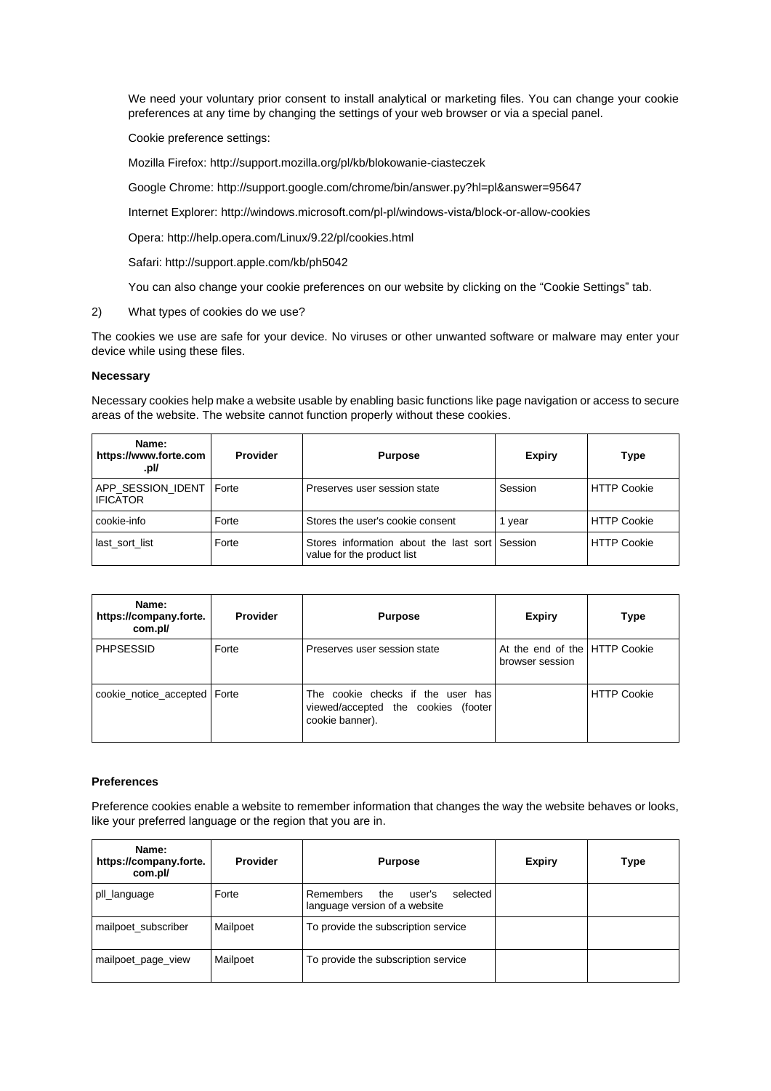We need your voluntary prior consent to install analytical or marketing files. You can change your cookie preferences at any time by changing the settings of your web browser or via a special panel.

Cookie preference settings:

Mozilla Firefox: <http://support.mozilla.org/pl/kb/blokowanie-ciasteczek>

Google Chrome: <http://support.google.com/chrome/bin/answer.py?hl=pl&answer=95647>

Internet Explorer: <http://windows.microsoft.com/pl-pl/windows-vista/block-or-allow-cookies>

Opera: <http://help.opera.com/Linux/9.22/pl/cookies.html>

Safari: <http://support.apple.com/kb/ph5042>

You can also change your cookie preferences on our website by clicking on the "Cookie Settings" tab.

2) What types of cookies do we use?

The cookies we use are safe for your device. No viruses or other unwanted software or malware may enter your device while using these files.

#### **Necessary**

Necessary cookies help make a website usable by enabling basic functions like page navigation or access to secure areas of the website. The website cannot function properly without these cookies.

| Name:<br>https://www.forte.com<br>.pl/ | Provider | <b>Purpose</b>                                                               | <b>Expiry</b> | Type               |
|----------------------------------------|----------|------------------------------------------------------------------------------|---------------|--------------------|
| APP SESSION IDENT<br><b>IFICATOR</b>   | Forte    | Preserves user session state                                                 | Session       | <b>HTTP Cookie</b> |
| cookie-info                            | Forte    | Stores the user's cookie consent                                             | vear          | <b>HTTP Cookie</b> |
| last sort list                         | Forte    | Stores information about the last sort Session<br>value for the product list |               | <b>HTTP Cookie</b> |

| Name:<br>https://company.forte.<br>com.pl/ | <b>Provider</b> | <b>Purpose</b>                                                                              | <b>Expiry</b>                                    | Type               |
|--------------------------------------------|-----------------|---------------------------------------------------------------------------------------------|--------------------------------------------------|--------------------|
| <b>PHPSESSID</b>                           | Forte           | Preserves user session state                                                                | At the end of the HTTP Cookie<br>browser session |                    |
| cookie_notice_accepted   Forte             |                 | The cookie checks if the user has<br>viewed/accepted the cookies (footer<br>cookie banner). |                                                  | <b>HTTP Cookie</b> |

#### **Preferences**

Preference cookies enable a website to remember information that changes the way the website behaves or looks, like your preferred language or the region that you are in.

| Name:<br>https://company.forte.<br>com.pl/ | <b>Provider</b> | <b>Purpose</b>                                                          | <b>Expiry</b> | Type |
|--------------------------------------------|-----------------|-------------------------------------------------------------------------|---------------|------|
| pll_language                               | Forte           | selected<br>Remembers<br>the<br>user's<br>language version of a website |               |      |
| mailpoet_subscriber                        | Mailpoet        | To provide the subscription service                                     |               |      |
| mailpoet_page_view                         | Mailpoet        | To provide the subscription service                                     |               |      |